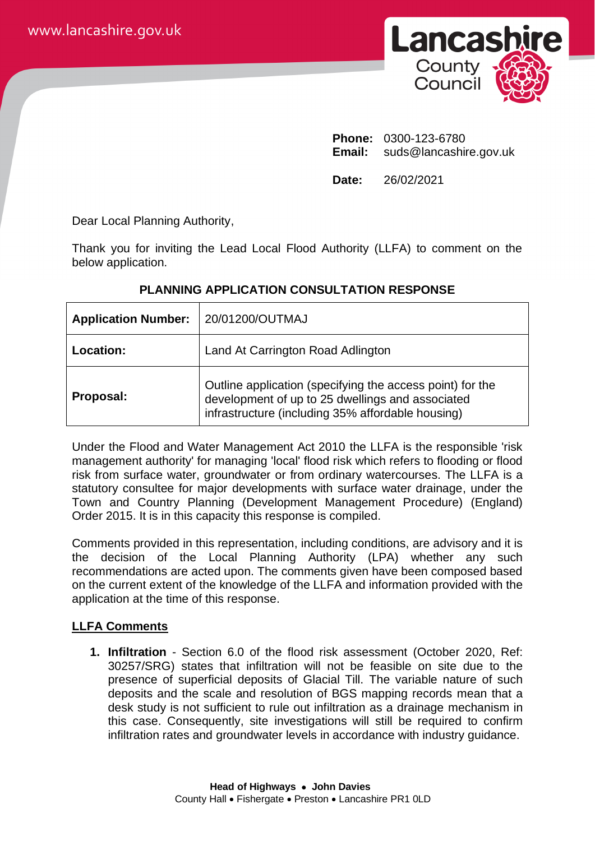

**Phone:** 0300-123-6780 **Email:** suds@lancashire.gov.uk

**Date:** 26/02/2021

Dear Local Planning Authority,

Thank you for inviting the Lead Local Flood Authority (LLFA) to comment on the below application.

| <b>Application Number:</b> | 20/01200/OUTMAJ                                                                                                                                                    |
|----------------------------|--------------------------------------------------------------------------------------------------------------------------------------------------------------------|
| Location:                  | Land At Carrington Road Adlington                                                                                                                                  |
| Proposal:                  | Outline application (specifying the access point) for the<br>development of up to 25 dwellings and associated<br>infrastructure (including 35% affordable housing) |

## **PLANNING APPLICATION CONSULTATION RESPONSE**

Under the Flood and Water Management Act 2010 the LLFA is the responsible 'risk management authority' for managing 'local' flood risk which refers to flooding or flood risk from surface water, groundwater or from ordinary watercourses. The LLFA is a statutory consultee for major developments with surface water drainage, under the Town and Country Planning (Development Management Procedure) (England) Order 2015. It is in this capacity this response is compiled.

Comments provided in this representation, including conditions, are advisory and it is the decision of the Local Planning Authority (LPA) whether any such recommendations are acted upon. The comments given have been composed based on the current extent of the knowledge of the LLFA and information provided with the application at the time of this response.

# **LLFA Comments**

**1. Infiltration** - Section 6.0 of the flood risk assessment (October 2020, Ref: 30257/SRG) states that infiltration will not be feasible on site due to the presence of superficial deposits of Glacial Till. The variable nature of such deposits and the scale and resolution of BGS mapping records mean that a desk study is not sufficient to rule out infiltration as a drainage mechanism in this case. Consequently, site investigations will still be required to confirm infiltration rates and groundwater levels in accordance with industry guidance.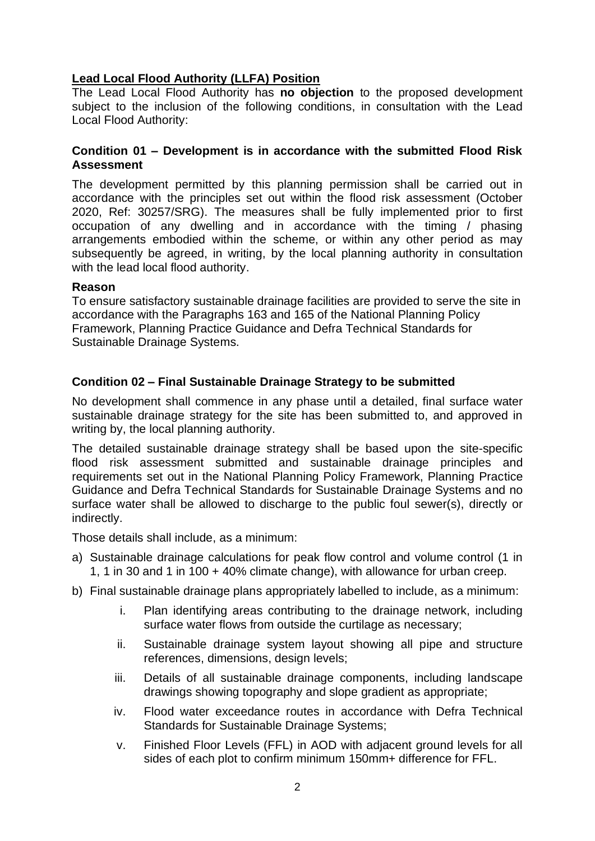# **Lead Local Flood Authority (LLFA) Position**

The Lead Local Flood Authority has **no objection** to the proposed development subject to the inclusion of the following conditions, in consultation with the Lead Local Flood Authority:

### **Condition 01 – Development is in accordance with the submitted Flood Risk Assessment**

The development permitted by this planning permission shall be carried out in accordance with the principles set out within the flood risk assessment (October 2020, Ref: 30257/SRG). The measures shall be fully implemented prior to first occupation of any dwelling and in accordance with the timing / phasing arrangements embodied within the scheme, or within any other period as may subsequently be agreed, in writing, by the local planning authority in consultation with the lead local flood authority.

## **Reason**

To ensure satisfactory sustainable drainage facilities are provided to serve the site in accordance with the Paragraphs 163 and 165 of the National Planning Policy Framework, Planning Practice Guidance and Defra Technical Standards for Sustainable Drainage Systems.

# **Condition 02 – Final Sustainable Drainage Strategy to be submitted**

No development shall commence in any phase until a detailed, final surface water sustainable drainage strategy for the site has been submitted to, and approved in writing by, the local planning authority.

The detailed sustainable drainage strategy shall be based upon the site-specific flood risk assessment submitted and sustainable drainage principles and requirements set out in the National Planning Policy Framework, Planning Practice Guidance and Defra Technical Standards for Sustainable Drainage Systems and no surface water shall be allowed to discharge to the public foul sewer(s), directly or indirectly.

Those details shall include, as a minimum:

- a) Sustainable drainage calculations for peak flow control and volume control (1 in 1, 1 in 30 and 1 in 100 + 40% climate change), with allowance for urban creep.
- b) Final sustainable drainage plans appropriately labelled to include, as a minimum:
	- i. Plan identifying areas contributing to the drainage network, including surface water flows from outside the curtilage as necessary;
	- ii. Sustainable drainage system layout showing all pipe and structure references, dimensions, design levels;
	- iii. Details of all sustainable drainage components, including landscape drawings showing topography and slope gradient as appropriate;
	- iv. Flood water exceedance routes in accordance with Defra Technical Standards for Sustainable Drainage Systems;
	- v. Finished Floor Levels (FFL) in AOD with adjacent ground levels for all sides of each plot to confirm minimum 150mm+ difference for FFL.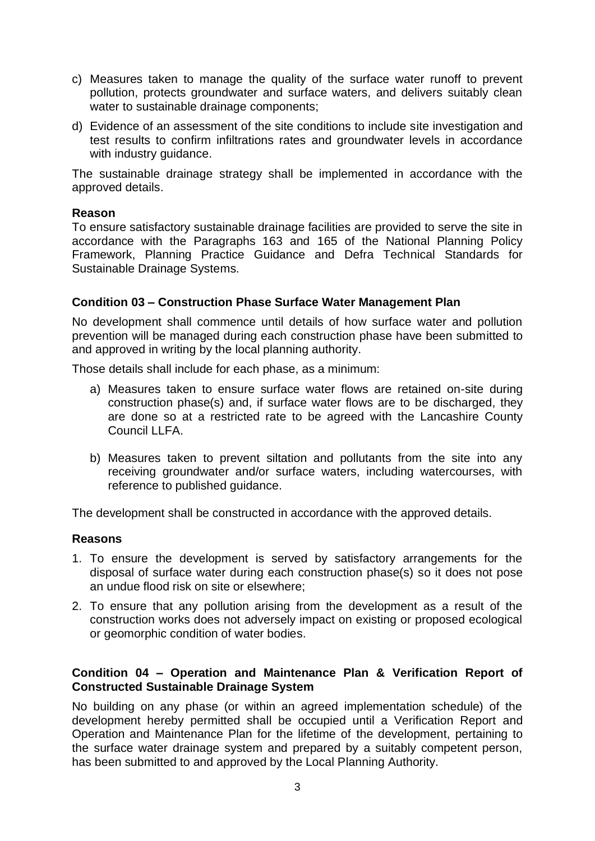- c) Measures taken to manage the quality of the surface water runoff to prevent pollution, protects groundwater and surface waters, and delivers suitably clean water to sustainable drainage components;
- d) Evidence of an assessment of the site conditions to include site investigation and test results to confirm infiltrations rates and groundwater levels in accordance with industry guidance.

The sustainable drainage strategy shall be implemented in accordance with the approved details.

#### **Reason**

To ensure satisfactory sustainable drainage facilities are provided to serve the site in accordance with the Paragraphs 163 and 165 of the National Planning Policy Framework, Planning Practice Guidance and Defra Technical Standards for Sustainable Drainage Systems.

### **Condition 03 – Construction Phase Surface Water Management Plan**

No development shall commence until details of how surface water and pollution prevention will be managed during each construction phase have been submitted to and approved in writing by the local planning authority.

Those details shall include for each phase, as a minimum:

- a) Measures taken to ensure surface water flows are retained on-site during construction phase(s) and, if surface water flows are to be discharged, they are done so at a restricted rate to be agreed with the Lancashire County Council LLFA.
- b) Measures taken to prevent siltation and pollutants from the site into any receiving groundwater and/or surface waters, including watercourses, with reference to published guidance.

The development shall be constructed in accordance with the approved details.

### **Reasons**

- 1. To ensure the development is served by satisfactory arrangements for the disposal of surface water during each construction phase(s) so it does not pose an undue flood risk on site or elsewhere;
- 2. To ensure that any pollution arising from the development as a result of the construction works does not adversely impact on existing or proposed ecological or geomorphic condition of water bodies.

## **Condition 04 – Operation and Maintenance Plan & Verification Report of Constructed Sustainable Drainage System**

No building on any phase (or within an agreed implementation schedule) of the development hereby permitted shall be occupied until a Verification Report and Operation and Maintenance Plan for the lifetime of the development, pertaining to the surface water drainage system and prepared by a suitably competent person, has been submitted to and approved by the Local Planning Authority.